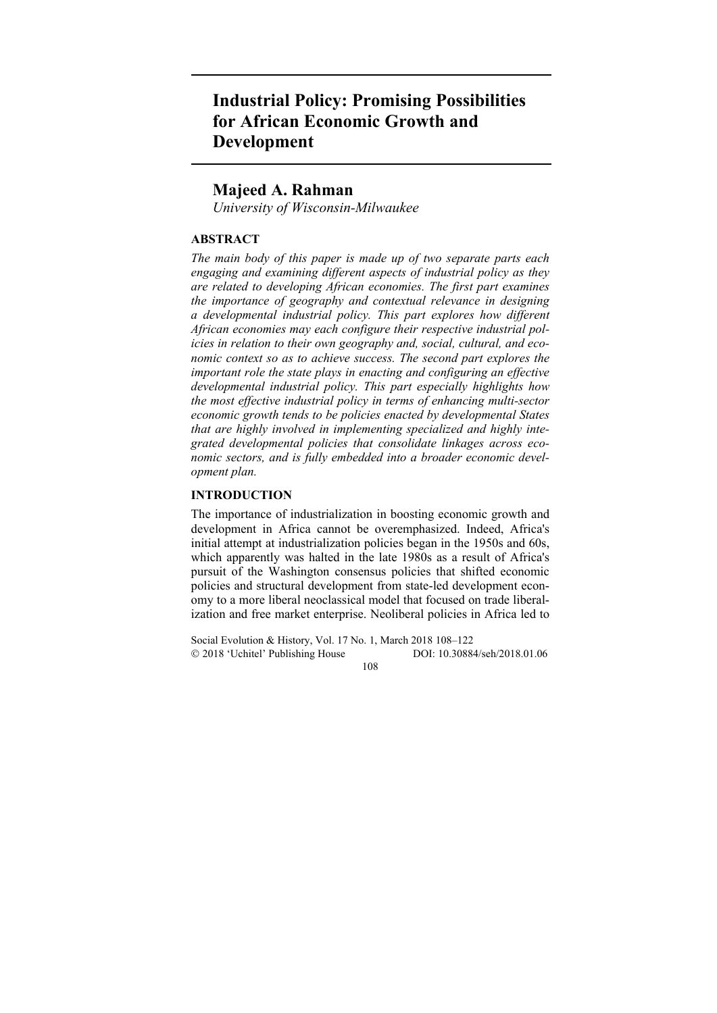# **Industrial Policy: Promising Possibilities for African Economic Growth and Development**

# **Majeed A. Rahman**

*University of Wisconsin-Milwaukee* 

## **ABSTRACT**

*The main body of this paper is made up of two separate parts each engaging and examining different aspects of industrial policy as they are related to developing African economies. The first part examines the importance of geography and contextual relevance in designing a developmental industrial policy. This part explores how different African economies may each configure their respective industrial policies in relation to their own geography and, social, cultural, and economic context so as to achieve success. The second part explores the important role the state plays in enacting and configuring an effective developmental industrial policy. This part especially highlights how the most effective industrial policy in terms of enhancing multi-sector economic growth tends to be policies enacted by developmental States that are highly involved in implementing specialized and highly integrated developmental policies that consolidate linkages across economic sectors, and is fully embedded into a broader economic development plan.*

## **INTRODUCTION**

The importance of industrialization in boosting economic growth and development in Africa cannot be overemphasized. Indeed, Africa's initial attempt at industrialization policies began in the 1950s and 60s, which apparently was halted in the late 1980s as a result of Africa's pursuit of the Washington consensus policies that shifted economic policies and structural development from state-led development economy to a more liberal neoclassical model that focused on trade liberalization and free market enterprise. Neoliberal policies in Africa led to

Social Evolution & History, Vol. 17 No. 1, March 2018 108–122 2018 'Uchitel' Publishing House DOI: 10.30884/seh/2018.01.06 108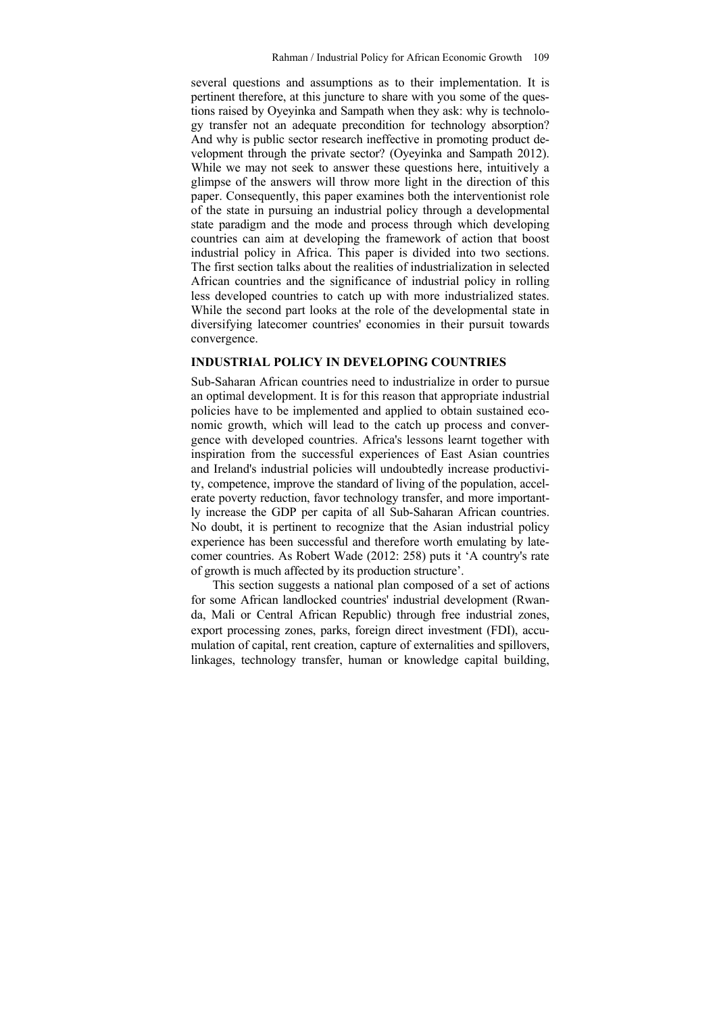several questions and assumptions as to their implementation. It is pertinent therefore, at this juncture to share with you some of the questions raised by Oyeyinka and Sampath when they ask: why is technology transfer not an adequate precondition for technology absorption? And why is public sector research ineffective in promoting product development through the private sector? (Oyeyinka and Sampath 2012). While we may not seek to answer these questions here, intuitively a glimpse of the answers will throw more light in the direction of this paper. Consequently, this paper examines both the interventionist role of the state in pursuing an industrial policy through a developmental state paradigm and the mode and process through which developing countries can aim at developing the framework of action that boost industrial policy in Africa. This paper is divided into two sections. The first section talks about the realities of industrialization in selected African countries and the significance of industrial policy in rolling less developed countries to catch up with more industrialized states. While the second part looks at the role of the developmental state in diversifying latecomer countries' economies in their pursuit towards convergence.

#### **INDUSTRIAL POLICY IN DEVELOPING COUNTRIES**

Sub-Saharan African countries need to industrialize in order to pursue an optimal development. It is for this reason that appropriate industrial policies have to be implemented and applied to obtain sustained economic growth, which will lead to the catch up process and convergence with developed countries. Africa's lessons learnt together with inspiration from the successful experiences of East Asian countries and Ireland's industrial policies will undoubtedly increase productivity, competence, improve the standard of living of the population, accelerate poverty reduction, favor technology transfer, and more importantly increase the GDP per capita of all Sub-Saharan African countries. No doubt, it is pertinent to recognize that the Asian industrial policy experience has been successful and therefore worth emulating by latecomer countries. As Robert Wade (2012: 258) puts it 'A country's rate of growth is much affected by its production structure'.

This section suggests a national plan composed of a set of actions for some African landlocked countries' industrial development (Rwanda, Mali or Central African Republic) through free industrial zones, export processing zones, parks, foreign direct investment (FDI), accumulation of capital, rent creation, capture of externalities and spillovers, linkages, technology transfer, human or knowledge capital building,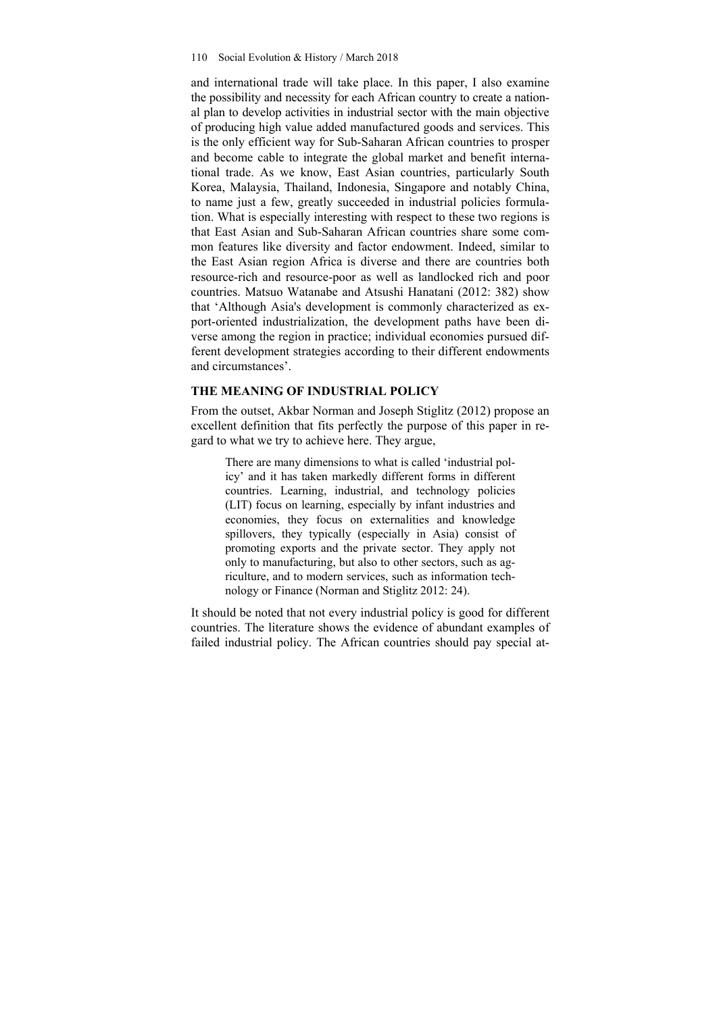and international trade will take place. In this paper, I also examine the possibility and necessity for each African country to create a national plan to develop activities in industrial sector with the main objective of producing high value added manufactured goods and services. This is the only efficient way for Sub-Saharan African countries to prosper and become cable to integrate the global market and benefit international trade. As we know, East Asian countries, particularly South Korea, Malaysia, Thailand, Indonesia, Singapore and notably China, to name just a few, greatly succeeded in industrial policies formulation. What is especially interesting with respect to these two regions is that East Asian and Sub-Saharan African countries share some common features like diversity and factor endowment. Indeed, similar to the East Asian region Africa is diverse and there are countries both resource-rich and resource-poor as well as landlocked rich and poor countries. Matsuo Watanabe and Atsushi Hanatani (2012: 382) show that 'Although Asia's development is commonly characterized as export-oriented industrialization, the development paths have been diverse among the region in practice; individual economies pursued different development strategies according to their different endowments and circumstances'.

## **THE MEANING OF INDUSTRIAL POLICY**

From the outset, Akbar Norman and Joseph Stiglitz (2012) propose an excellent definition that fits perfectly the purpose of this paper in regard to what we try to achieve here. They argue,

There are many dimensions to what is called 'industrial policy' and it has taken markedly different forms in different countries. Learning, industrial, and technology policies (LIT) focus on learning, especially by infant industries and economies, they focus on externalities and knowledge spillovers, they typically (especially in Asia) consist of promoting exports and the private sector. They apply not only to manufacturing, but also to other sectors, such as agriculture, and to modern services, such as information technology or Finance (Norman and Stiglitz 2012: 24).

It should be noted that not every industrial policy is good for different countries. The literature shows the evidence of abundant examples of failed industrial policy. The African countries should pay special at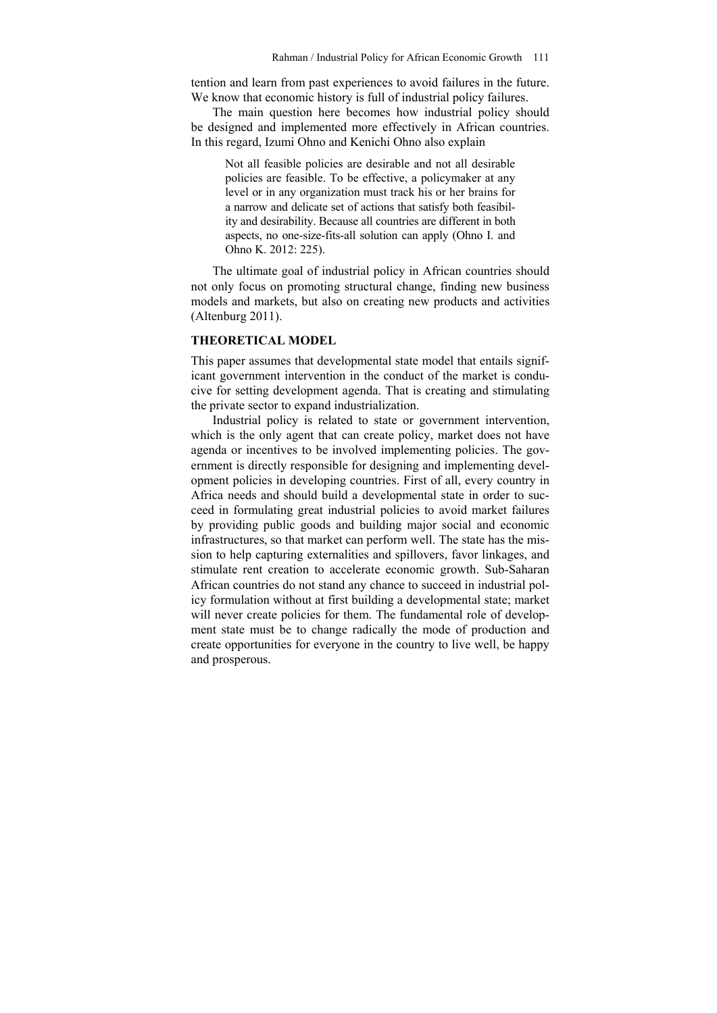tention and learn from past experiences to avoid failures in the future. We know that economic history is full of industrial policy failures.

The main question here becomes how industrial policy should be designed and implemented more effectively in African countries. In this regard, Izumi Ohno and Kenichi Ohno also explain

Not all feasible policies are desirable and not all desirable policies are feasible. To be effective, a policymaker at any level or in any organization must track his or her brains for a narrow and delicate set of actions that satisfy both feasibility and desirability. Because all countries are different in both aspects, no one-size-fits-all solution can apply (Ohno I. and Ohno K. 2012: 225).

The ultimate goal of industrial policy in African countries should not only focus on promoting structural change, finding new business models and markets, but also on creating new products and activities (Altenburg 2011).

## **THEORETICAL MODEL**

This paper assumes that developmental state model that entails significant government intervention in the conduct of the market is conducive for setting development agenda. That is creating and stimulating the private sector to expand industrialization.

Industrial policy is related to state or government intervention, which is the only agent that can create policy, market does not have agenda or incentives to be involved implementing policies. The government is directly responsible for designing and implementing development policies in developing countries. First of all, every country in Africa needs and should build a developmental state in order to succeed in formulating great industrial policies to avoid market failures by providing public goods and building major social and economic infrastructures, so that market can perform well. The state has the mission to help capturing externalities and spillovers, favor linkages, and stimulate rent creation to accelerate economic growth. Sub-Saharan African countries do not stand any chance to succeed in industrial policy formulation without at first building a developmental state; market will never create policies for them. The fundamental role of development state must be to change radically the mode of production and create opportunities for everyone in the country to live well, be happy and prosperous.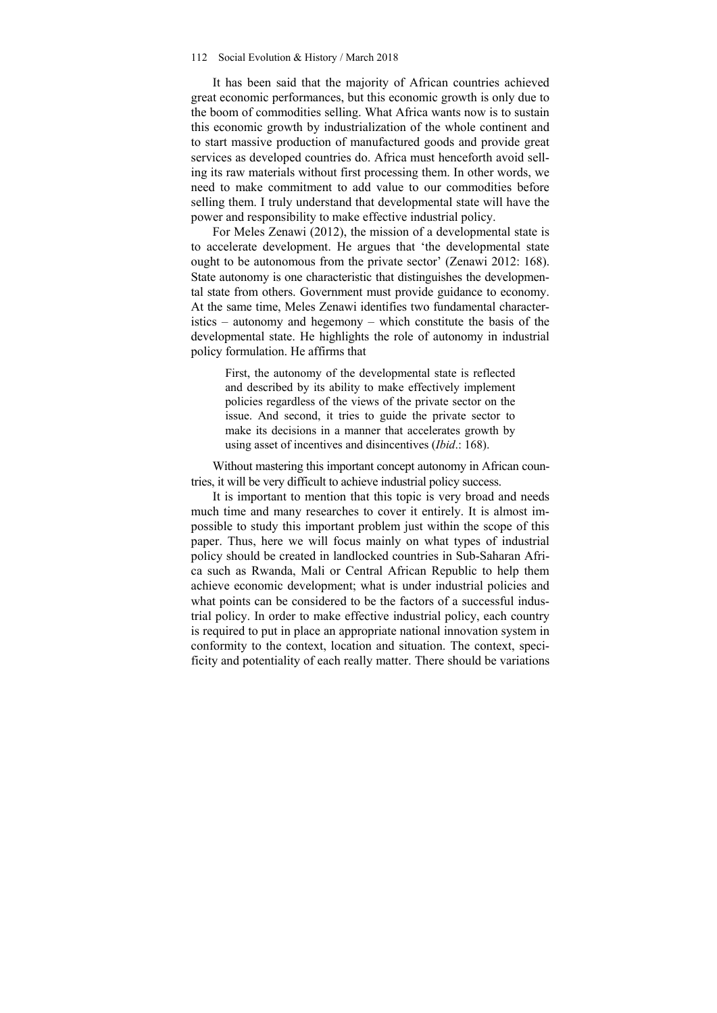#### 112 Social Evolution & History / March 2018

It has been said that the majority of African countries achieved great economic performances, but this economic growth is only due to the boom of commodities selling. What Africa wants now is to sustain this economic growth by industrialization of the whole continent and to start massive production of manufactured goods and provide great services as developed countries do. Africa must henceforth avoid selling its raw materials without first processing them. In other words, we need to make commitment to add value to our commodities before selling them. I truly understand that developmental state will have the power and responsibility to make effective industrial policy.

For Meles Zenawi (2012), the mission of a developmental state is to accelerate development. He argues that 'the developmental state ought to be autonomous from the private sector' (Zenawi 2012: 168). State autonomy is one characteristic that distinguishes the developmental state from others. Government must provide guidance to economy. At the same time, Meles Zenawi identifies two fundamental characteristics – autonomy and hegemony – which constitute the basis of the developmental state. He highlights the role of autonomy in industrial policy formulation. He affirms that

First, the autonomy of the developmental state is reflected and described by its ability to make effectively implement policies regardless of the views of the private sector on the issue. And second, it tries to guide the private sector to make its decisions in a manner that accelerates growth by using asset of incentives and disincentives (*Ibid*.: 168).

Without mastering this important concept autonomy in African countries, it will be very difficult to achieve industrial policy success.

It is important to mention that this topic is very broad and needs much time and many researches to cover it entirely. It is almost impossible to study this important problem just within the scope of this paper. Thus, here we will focus mainly on what types of industrial policy should be created in landlocked countries in Sub-Saharan Africa such as Rwanda, Mali or Central African Republic to help them achieve economic development; what is under industrial policies and what points can be considered to be the factors of a successful industrial policy. In order to make effective industrial policy, each country is required to put in place an appropriate national innovation system in conformity to the context, location and situation. The context, specificity and potentiality of each really matter. There should be variations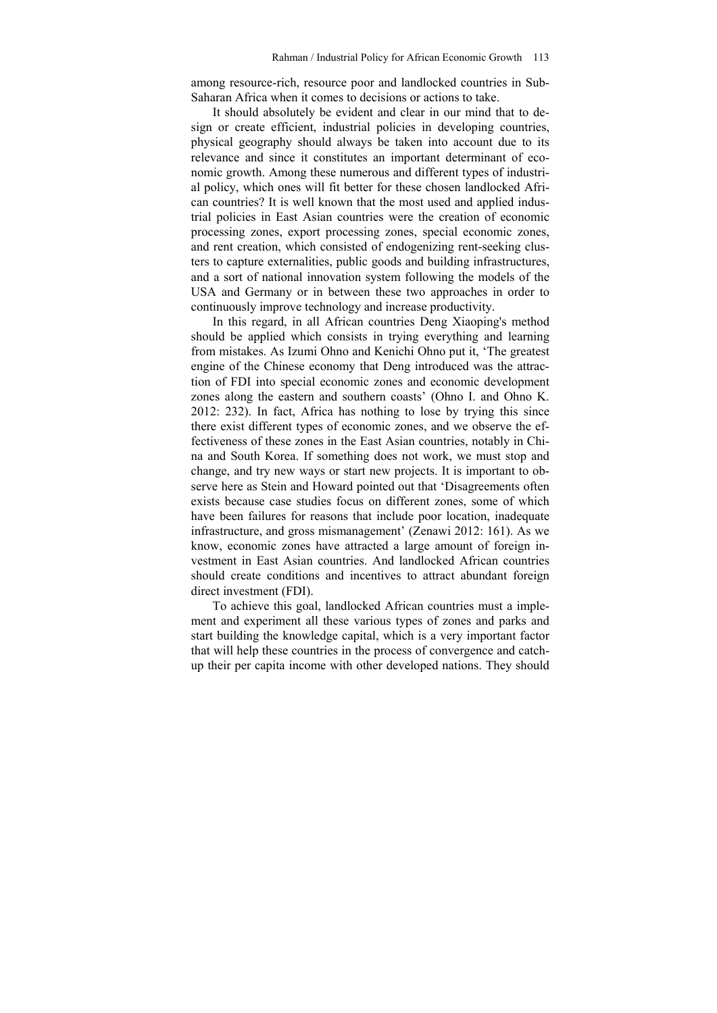among resource-rich, resource poor and landlocked countries in Sub-Saharan Africa when it comes to decisions or actions to take.

It should absolutely be evident and clear in our mind that to design or create efficient, industrial policies in developing countries, physical geography should always be taken into account due to its relevance and since it constitutes an important determinant of economic growth. Among these numerous and different types of industrial policy, which ones will fit better for these chosen landlocked African countries? It is well known that the most used and applied industrial policies in East Asian countries were the creation of economic processing zones, export processing zones, special economic zones, and rent creation, which consisted of endogenizing rent-seeking clusters to capture externalities, public goods and building infrastructures, and a sort of national innovation system following the models of the USA and Germany or in between these two approaches in order to continuously improve technology and increase productivity.

In this regard, in all African countries Deng Xiaoping's method should be applied which consists in trying everything and learning from mistakes. As Izumi Ohno and Kenichi Ohno put it, 'The greatest engine of the Chinese economy that Deng introduced was the attraction of FDI into special economic zones and economic development zones along the eastern and southern coasts' (Ohno I. and Ohno K. 2012: 232). In fact, Africa has nothing to lose by trying this since there exist different types of economic zones, and we observe the effectiveness of these zones in the East Asian countries, notably in China and South Korea. If something does not work, we must stop and change, and try new ways or start new projects. It is important to observe here as Stein and Howard pointed out that 'Disagreements often exists because case studies focus on different zones, some of which have been failures for reasons that include poor location, inadequate infrastructure, and gross mismanagement' (Zenawi 2012: 161). As we know, economic zones have attracted a large amount of foreign investment in East Asian countries. And landlocked African countries should create conditions and incentives to attract abundant foreign direct investment (FDI).

To achieve this goal, landlocked African countries must a implement and experiment all these various types of zones and parks and start building the knowledge capital, which is a very important factor that will help these countries in the process of convergence and catchup their per capita income with other developed nations. They should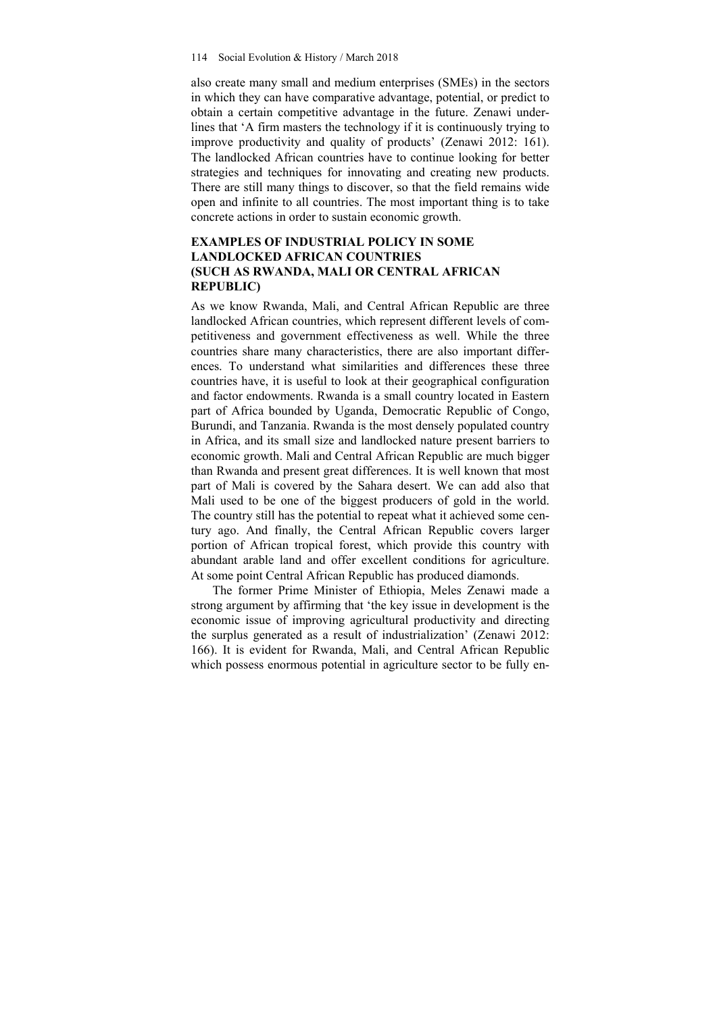also create many small and medium enterprises (SMEs) in the sectors in which they can have comparative advantage, potential, or predict to obtain a certain competitive advantage in the future. Zenawi underlines that 'A firm masters the technology if it is continuously trying to improve productivity and quality of products' (Zenawi 2012: 161). The landlocked African countries have to continue looking for better strategies and techniques for innovating and creating new products. There are still many things to discover, so that the field remains wide open and infinite to all countries. The most important thing is to take concrete actions in order to sustain economic growth.

## **EXAMPLES OF INDUSTRIAL POLICY IN SOME LANDLOCKED AFRICAN COUNTRIES (SUCH AS RWANDA, MALI OR CENTRAL AFRICAN REPUBLIC)**

As we know Rwanda, Mali, and Central African Republic are three landlocked African countries, which represent different levels of competitiveness and government effectiveness as well. While the three countries share many characteristics, there are also important differences. To understand what similarities and differences these three countries have, it is useful to look at their geographical configuration and factor endowments. Rwanda is a small country located in Eastern part of Africa bounded by Uganda, Democratic Republic of Congo, Burundi, and Tanzania. Rwanda is the most densely populated country in Africa, and its small size and landlocked nature present barriers to economic growth. Mali and Central African Republic are much bigger than Rwanda and present great differences. It is well known that most part of Mali is covered by the Sahara desert. We can add also that Mali used to be one of the biggest producers of gold in the world. The country still has the potential to repeat what it achieved some century ago. And finally, the Central African Republic covers larger portion of African tropical forest, which provide this country with abundant arable land and offer excellent conditions for agriculture. At some point Central African Republic has produced diamonds.

The former Prime Minister of Ethiopia, Meles Zenawi made a strong argument by affirming that 'the key issue in development is the economic issue of improving agricultural productivity and directing the surplus generated as a result of industrialization' (Zenawi 2012: 166). It is evident for Rwanda, Mali, and Central African Republic which possess enormous potential in agriculture sector to be fully en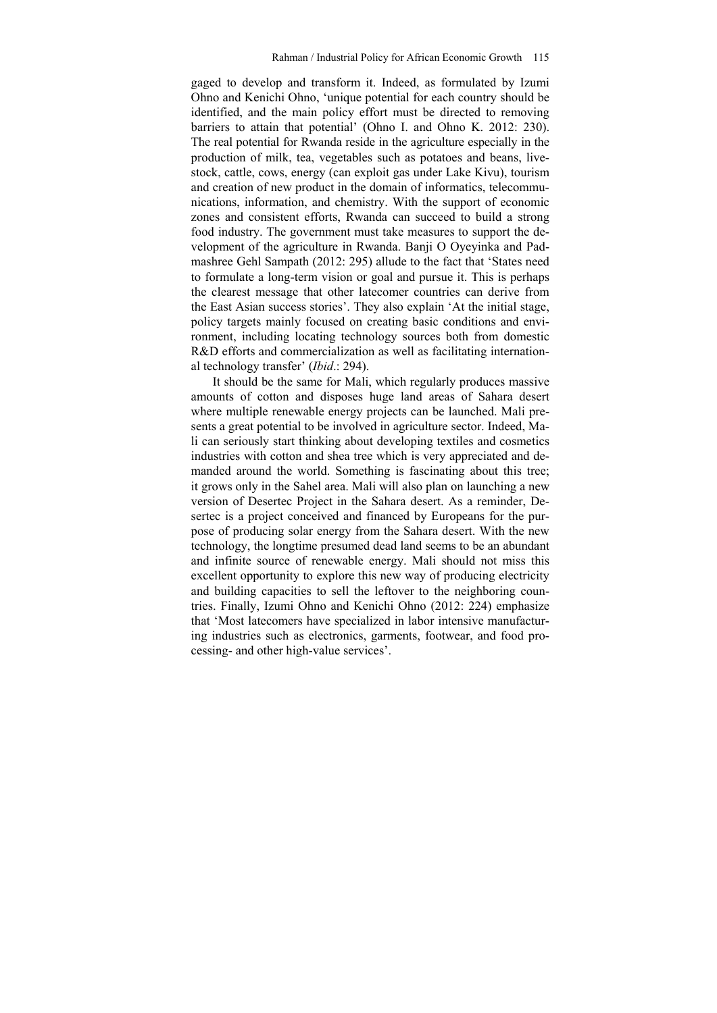gaged to develop and transform it. Indeed, as formulated by Izumi Ohno and Kenichi Ohno, 'unique potential for each country should be identified, and the main policy effort must be directed to removing barriers to attain that potential' (Ohno I. and Ohno K. 2012: 230). The real potential for Rwanda reside in the agriculture especially in the production of milk, tea, vegetables such as potatoes and beans, livestock, cattle, cows, energy (can exploit gas under Lake Kivu), tourism and creation of new product in the domain of informatics, telecommunications, information, and chemistry. With the support of economic zones and consistent efforts, Rwanda can succeed to build a strong food industry. The government must take measures to support the development of the agriculture in Rwanda. Banji O Oyeyinka and Padmashree Gehl Sampath (2012: 295) allude to the fact that 'States need to formulate a long-term vision or goal and pursue it. This is perhaps the clearest message that other latecomer countries can derive from the East Asian success stories'. They also explain 'At the initial stage, policy targets mainly focused on creating basic conditions and environment, including locating technology sources both from domestic R&D efforts and commercialization as well as facilitating international technology transfer' (*Ibid*.: 294).

It should be the same for Mali, which regularly produces massive amounts of cotton and disposes huge land areas of Sahara desert where multiple renewable energy projects can be launched. Mali presents a great potential to be involved in agriculture sector. Indeed, Mali can seriously start thinking about developing textiles and cosmetics industries with cotton and shea tree which is very appreciated and demanded around the world. Something is fascinating about this tree; it grows only in the Sahel area. Mali will also plan on launching a new version of Desertec Project in the Sahara desert. As a reminder, Desertec is a project conceived and financed by Europeans for the purpose of producing solar energy from the Sahara desert. With the new technology, the longtime presumed dead land seems to be an abundant and infinite source of renewable energy. Mali should not miss this excellent opportunity to explore this new way of producing electricity and building capacities to sell the leftover to the neighboring countries. Finally, Izumi Ohno and Kenichi Ohno (2012: 224) emphasize that 'Most latecomers have specialized in labor intensive manufacturing industries such as electronics, garments, footwear, and food processing- and other high-value services'.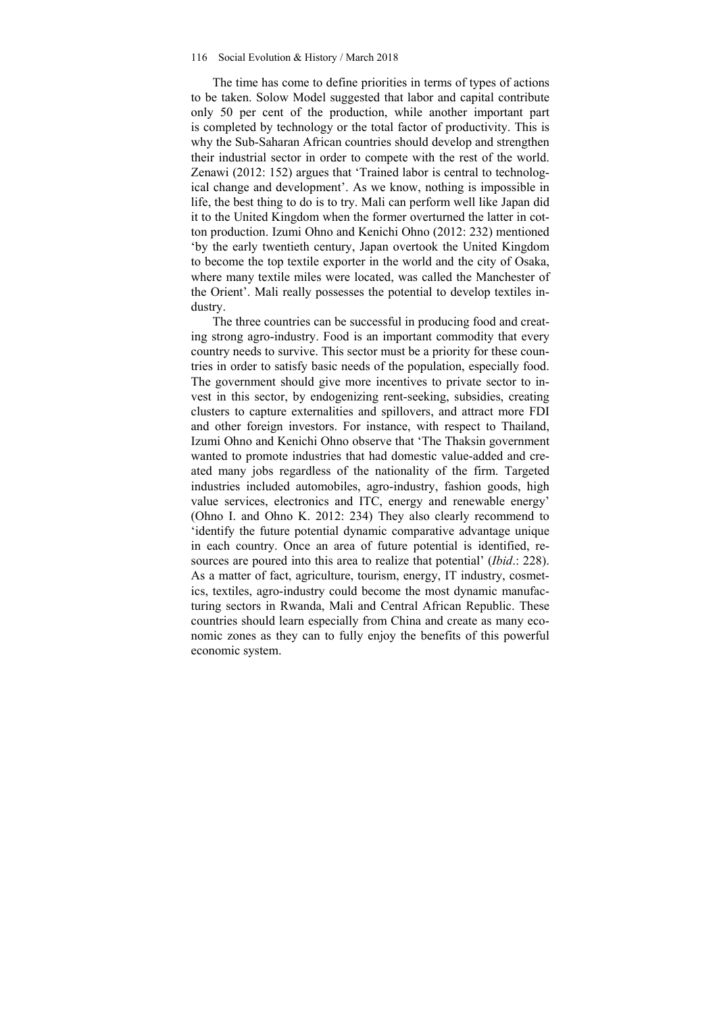The time has come to define priorities in terms of types of actions to be taken. Solow Model suggested that labor and capital contribute only 50 per cent of the production, while another important part is completed by technology or the total factor of productivity. This is why the Sub-Saharan African countries should develop and strengthen their industrial sector in order to compete with the rest of the world. Zenawi (2012: 152) argues that 'Trained labor is central to technological change and development'. As we know, nothing is impossible in life, the best thing to do is to try. Mali can perform well like Japan did it to the United Kingdom when the former overturned the latter in cotton production. Izumi Ohno and Kenichi Ohno (2012: 232) mentioned 'by the early twentieth century, Japan overtook the United Kingdom to become the top textile exporter in the world and the city of Osaka, where many textile miles were located, was called the Manchester of the Orient'. Mali really possesses the potential to develop textiles industry.

The three countries can be successful in producing food and creating strong agro-industry. Food is an important commodity that every country needs to survive. This sector must be a priority for these countries in order to satisfy basic needs of the population, especially food. The government should give more incentives to private sector to invest in this sector, by endogenizing rent-seeking, subsidies, creating clusters to capture externalities and spillovers, and attract more FDI and other foreign investors. For instance, with respect to Thailand, Izumi Ohno and Kenichi Ohno observe that 'The Thaksin government wanted to promote industries that had domestic value-added and created many jobs regardless of the nationality of the firm. Targeted industries included automobiles, agro-industry, fashion goods, high value services, electronics and ITC, energy and renewable energy' (Ohno I. and Ohno K. 2012: 234) They also clearly recommend to 'identify the future potential dynamic comparative advantage unique in each country. Once an area of future potential is identified, resources are poured into this area to realize that potential' (*Ibid*.: 228). As a matter of fact, agriculture, tourism, energy, IT industry, cosmetics, textiles, agro-industry could become the most dynamic manufacturing sectors in Rwanda, Mali and Central African Republic. These countries should learn especially from China and create as many economic zones as they can to fully enjoy the benefits of this powerful economic system.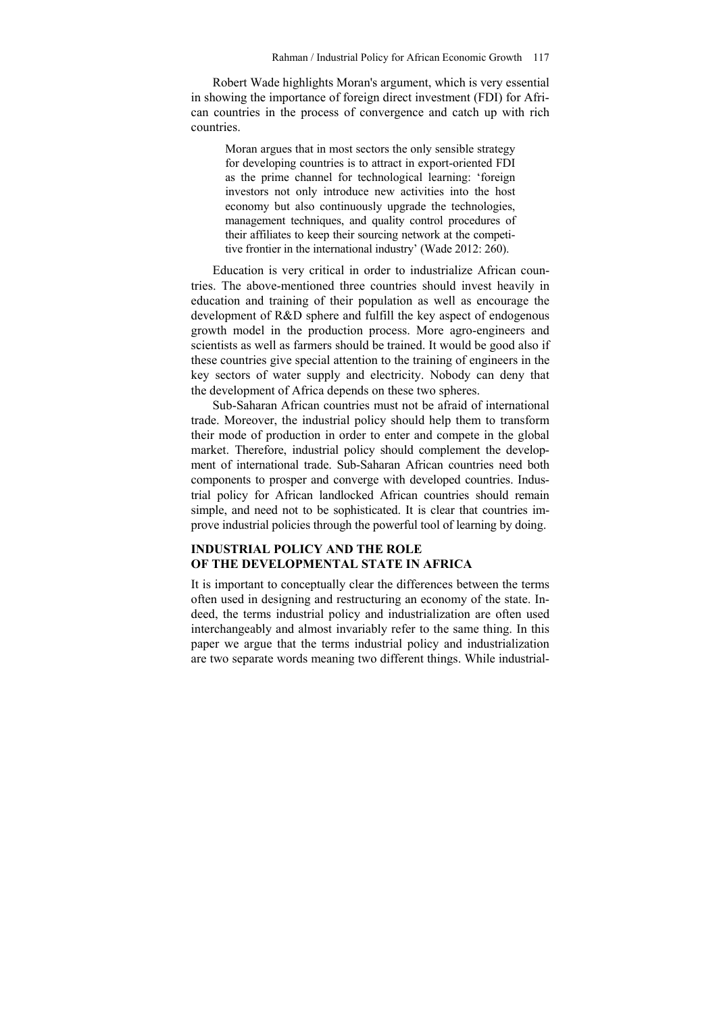Robert Wade highlights Moran's argument, which is very essential in showing the importance of foreign direct investment (FDI) for African countries in the process of convergence and catch up with rich countries.

Moran argues that in most sectors the only sensible strategy for developing countries is to attract in export-oriented FDI as the prime channel for technological learning: 'foreign investors not only introduce new activities into the host economy but also continuously upgrade the technologies, management techniques, and quality control procedures of their affiliates to keep their sourcing network at the competitive frontier in the international industry' (Wade 2012: 260).

Education is very critical in order to industrialize African countries. The above-mentioned three countries should invest heavily in education and training of their population as well as encourage the development of R&D sphere and fulfill the key aspect of endogenous growth model in the production process. More agro-engineers and scientists as well as farmers should be trained. It would be good also if these countries give special attention to the training of engineers in the key sectors of water supply and electricity. Nobody can deny that the development of Africa depends on these two spheres.

Sub-Saharan African countries must not be afraid of international trade. Moreover, the industrial policy should help them to transform their mode of production in order to enter and compete in the global market. Therefore, industrial policy should complement the development of international trade. Sub-Saharan African countries need both components to prosper and converge with developed countries. Industrial policy for African landlocked African countries should remain simple, and need not to be sophisticated. It is clear that countries improve industrial policies through the powerful tool of learning by doing.

## **INDUSTRIAL POLICY AND THE ROLE OF THE DEVELOPMENTAL STATE IN AFRICA**

It is important to conceptually clear the differences between the terms often used in designing and restructuring an economy of the state. Indeed, the terms industrial policy and industrialization are often used interchangeably and almost invariably refer to the same thing. In this paper we argue that the terms industrial policy and industrialization are two separate words meaning two different things. While industrial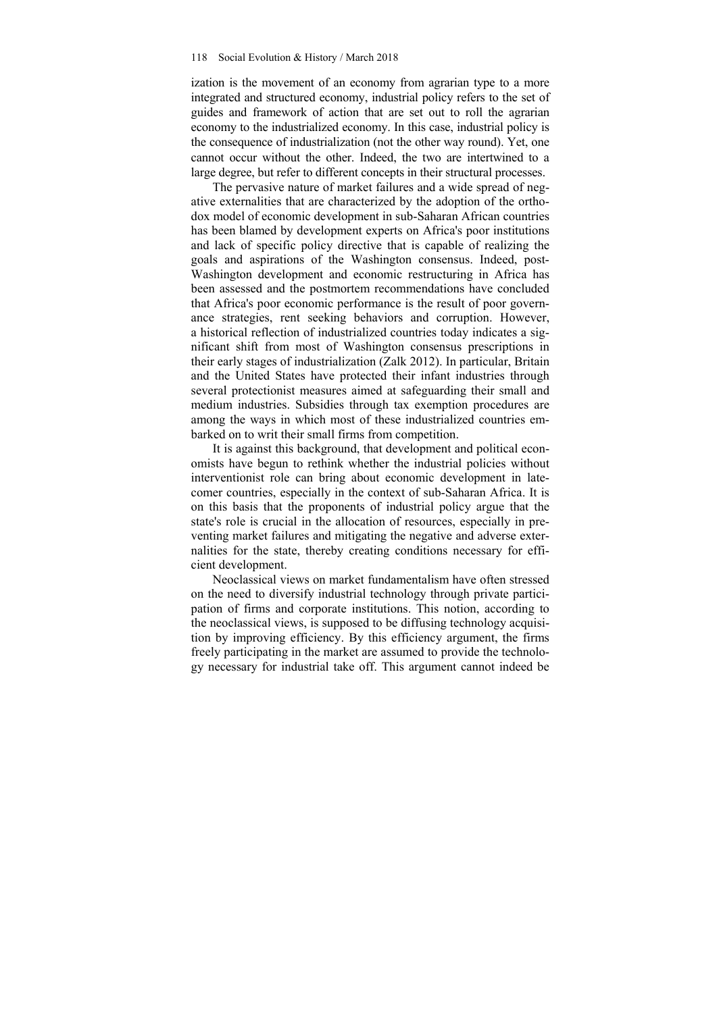ization is the movement of an economy from agrarian type to a more integrated and structured economy, industrial policy refers to the set of guides and framework of action that are set out to roll the agrarian economy to the industrialized economy. In this case, industrial policy is the consequence of industrialization (not the other way round). Yet, one cannot occur without the other. Indeed, the two are intertwined to a large degree, but refer to different concepts in their structural processes.

The pervasive nature of market failures and a wide spread of negative externalities that are characterized by the adoption of the orthodox model of economic development in sub-Saharan African countries has been blamed by development experts on Africa's poor institutions and lack of specific policy directive that is capable of realizing the goals and aspirations of the Washington consensus. Indeed, post-Washington development and economic restructuring in Africa has been assessed and the postmortem recommendations have concluded that Africa's poor economic performance is the result of poor governance strategies, rent seeking behaviors and corruption. However, a historical reflection of industrialized countries today indicates a significant shift from most of Washington consensus prescriptions in their early stages of industrialization (Zalk 2012). In particular, Britain and the United States have protected their infant industries through several protectionist measures aimed at safeguarding their small and medium industries. Subsidies through tax exemption procedures are among the ways in which most of these industrialized countries embarked on to writ their small firms from competition.

It is against this background, that development and political economists have begun to rethink whether the industrial policies without interventionist role can bring about economic development in latecomer countries, especially in the context of sub-Saharan Africa. It is on this basis that the proponents of industrial policy argue that the state's role is crucial in the allocation of resources, especially in preventing market failures and mitigating the negative and adverse externalities for the state, thereby creating conditions necessary for efficient development.

Neoclassical views on market fundamentalism have often stressed on the need to diversify industrial technology through private participation of firms and corporate institutions. This notion, according to the neoclassical views, is supposed to be diffusing technology acquisition by improving efficiency. By this efficiency argument, the firms freely participating in the market are assumed to provide the technology necessary for industrial take off. This argument cannot indeed be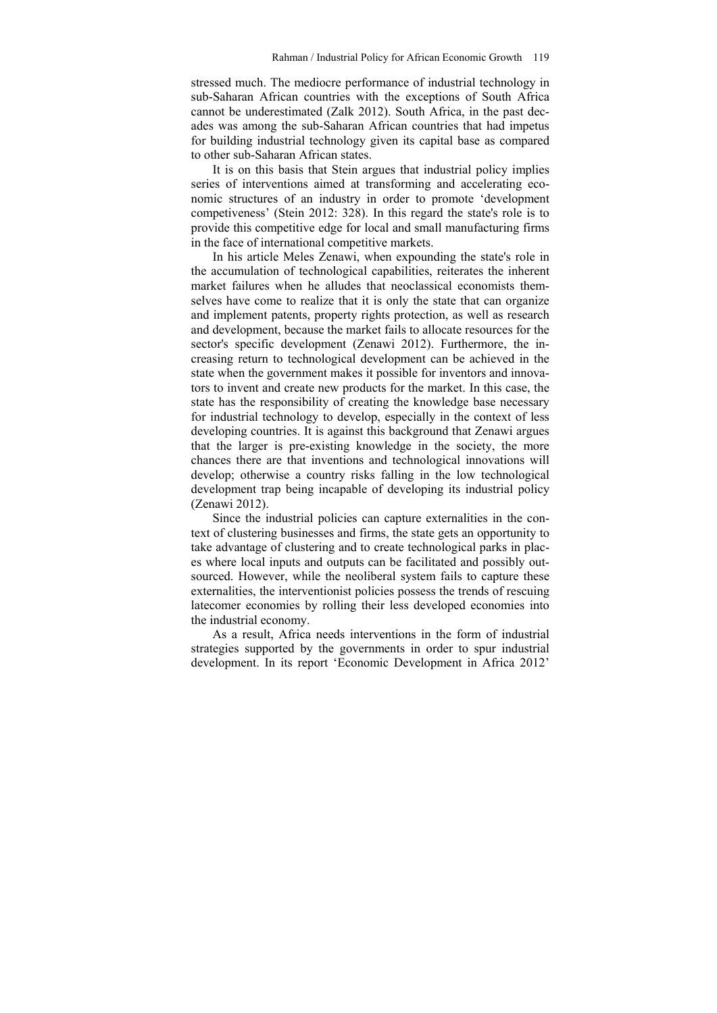stressed much. The mediocre performance of industrial technology in sub-Saharan African countries with the exceptions of South Africa cannot be underestimated (Zalk 2012). South Africa, in the past decades was among the sub-Saharan African countries that had impetus for building industrial technology given its capital base as compared to other sub-Saharan African states.

It is on this basis that Stein argues that industrial policy implies series of interventions aimed at transforming and accelerating economic structures of an industry in order to promote 'development competiveness' (Stein 2012: 328). In this regard the state's role is to provide this competitive edge for local and small manufacturing firms in the face of international competitive markets.

In his article Meles Zenawi, when expounding the state's role in the accumulation of technological capabilities, reiterates the inherent market failures when he alludes that neoclassical economists themselves have come to realize that it is only the state that can organize and implement patents, property rights protection, as well as research and development, because the market fails to allocate resources for the sector's specific development (Zenawi 2012). Furthermore, the increasing return to technological development can be achieved in the state when the government makes it possible for inventors and innovators to invent and create new products for the market. In this case, the state has the responsibility of creating the knowledge base necessary for industrial technology to develop, especially in the context of less developing countries. It is against this background that Zenawi argues that the larger is pre-existing knowledge in the society, the more chances there are that inventions and technological innovations will develop; otherwise a country risks falling in the low technological development trap being incapable of developing its industrial policy (Zenawi 2012).

Since the industrial policies can capture externalities in the context of clustering businesses and firms, the state gets an opportunity to take advantage of clustering and to create technological parks in places where local inputs and outputs can be facilitated and possibly outsourced. However, while the neoliberal system fails to capture these externalities, the interventionist policies possess the trends of rescuing latecomer economies by rolling their less developed economies into the industrial economy.

As a result, Africa needs interventions in the form of industrial strategies supported by the governments in order to spur industrial development. In its report 'Economic Development in Africa 2012'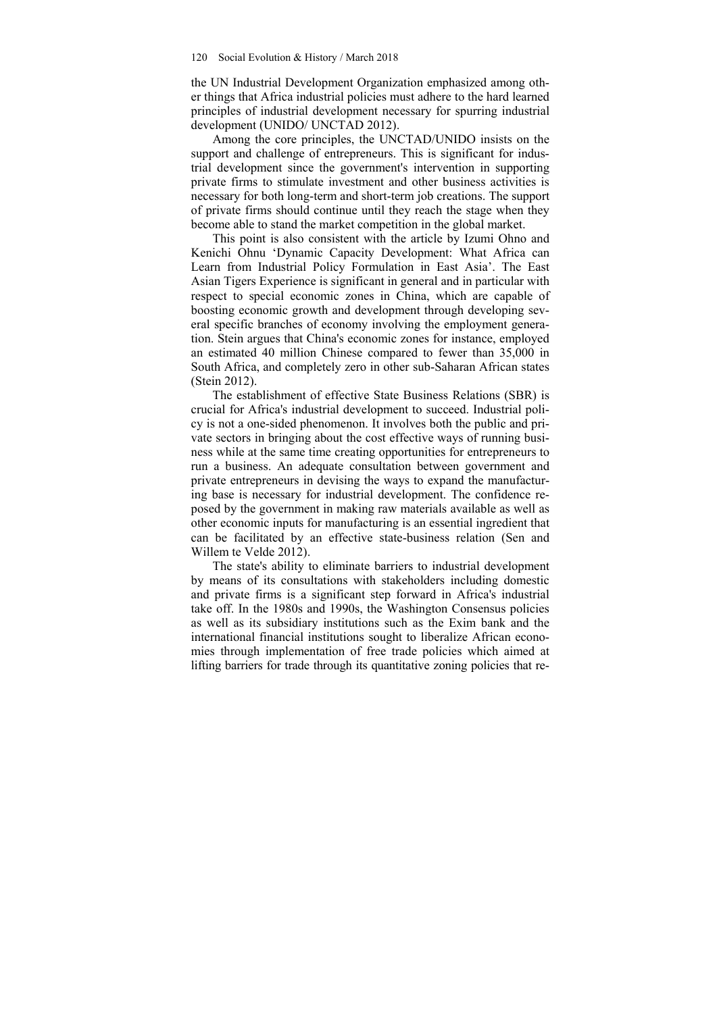the UN Industrial Development Organization emphasized among other things that Africa industrial policies must adhere to the hard learned principles of industrial development necessary for spurring industrial development (UNIDO/ UNCTAD 2012).

Among the core principles, the UNCTAD/UNIDO insists on the support and challenge of entrepreneurs. This is significant for industrial development since the government's intervention in supporting private firms to stimulate investment and other business activities is necessary for both long-term and short-term job creations. The support of private firms should continue until they reach the stage when they become able to stand the market competition in the global market.

This point is also consistent with the article by Izumi Ohno and Kenichi Ohnu 'Dynamic Capacity Development: What Africa can Learn from Industrial Policy Formulation in East Asia'. The East Asian Tigers Experience is significant in general and in particular with respect to special economic zones in China, which are capable of boosting economic growth and development through developing several specific branches of economy involving the employment generation. Stein argues that China's economic zones for instance, employed an estimated 40 million Chinese compared to fewer than 35,000 in South Africa, and completely zero in other sub-Saharan African states (Stein 2012).

The establishment of effective State Business Relations (SBR) is crucial for Africa's industrial development to succeed. Industrial policy is not a one-sided phenomenon. It involves both the public and private sectors in bringing about the cost effective ways of running business while at the same time creating opportunities for entrepreneurs to run a business. An adequate consultation between government and private entrepreneurs in devising the ways to expand the manufacturing base is necessary for industrial development. The confidence reposed by the government in making raw materials available as well as other economic inputs for manufacturing is an essential ingredient that can be facilitated by an effective state-business relation (Sen and Willem te Velde 2012).

The state's ability to eliminate barriers to industrial development by means of its consultations with stakeholders including domestic and private firms is a significant step forward in Africa's industrial take off. In the 1980s and 1990s, the Washington Consensus policies as well as its subsidiary institutions such as the Exim bank and the international financial institutions sought to liberalize African economies through implementation of free trade policies which aimed at lifting barriers for trade through its quantitative zoning policies that re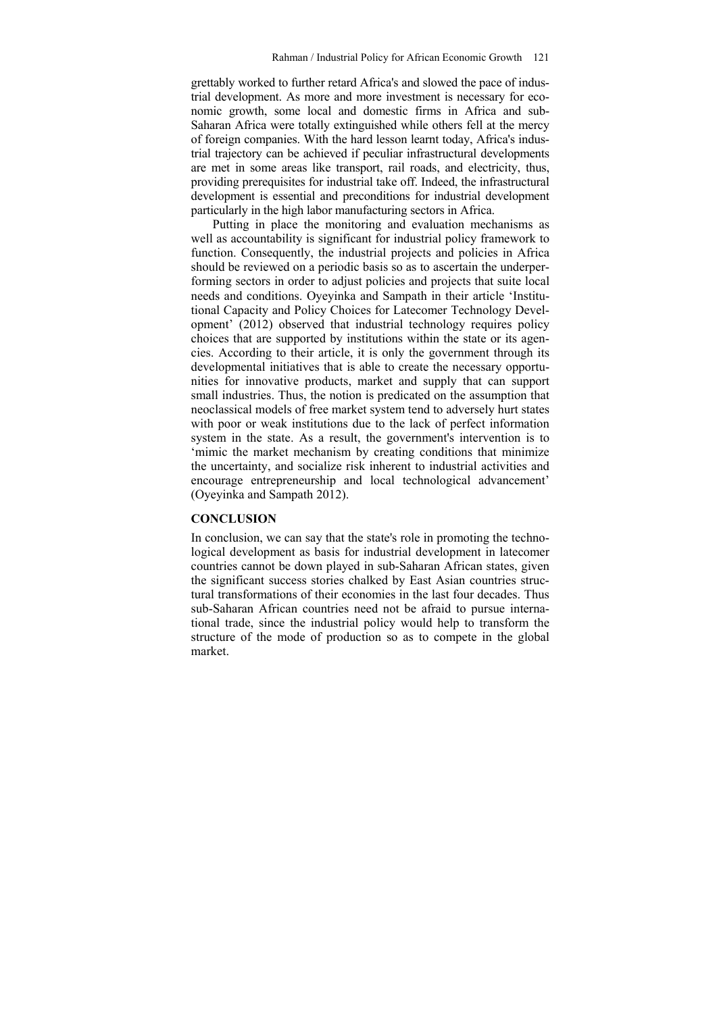grettably worked to further retard Africa's and slowed the pace of industrial development. As more and more investment is necessary for economic growth, some local and domestic firms in Africa and sub-Saharan Africa were totally extinguished while others fell at the mercy of foreign companies. With the hard lesson learnt today, Africa's industrial trajectory can be achieved if peculiar infrastructural developments are met in some areas like transport, rail roads, and electricity, thus, providing prerequisites for industrial take off. Indeed, the infrastructural development is essential and preconditions for industrial development particularly in the high labor manufacturing sectors in Africa.

Putting in place the monitoring and evaluation mechanisms as well as accountability is significant for industrial policy framework to function. Consequently, the industrial projects and policies in Africa should be reviewed on a periodic basis so as to ascertain the underperforming sectors in order to adjust policies and projects that suite local needs and conditions. Oyeyinka and Sampath in their article 'Institutional Capacity and Policy Choices for Latecomer Technology Development' (2012) observed that industrial technology requires policy choices that are supported by institutions within the state or its agencies. According to their article, it is only the government through its developmental initiatives that is able to create the necessary opportunities for innovative products, market and supply that can support small industries. Thus, the notion is predicated on the assumption that neoclassical models of free market system tend to adversely hurt states with poor or weak institutions due to the lack of perfect information system in the state. As a result, the government's intervention is to 'mimic the market mechanism by creating conditions that minimize the uncertainty, and socialize risk inherent to industrial activities and encourage entrepreneurship and local technological advancement' (Oyeyinka and Sampath 2012).

## **CONCLUSION**

In conclusion, we can say that the state's role in promoting the technological development as basis for industrial development in latecomer countries cannot be down played in sub-Saharan African states, given the significant success stories chalked by East Asian countries structural transformations of their economies in the last four decades. Thus sub-Saharan African countries need not be afraid to pursue international trade, since the industrial policy would help to transform the structure of the mode of production so as to compete in the global market.